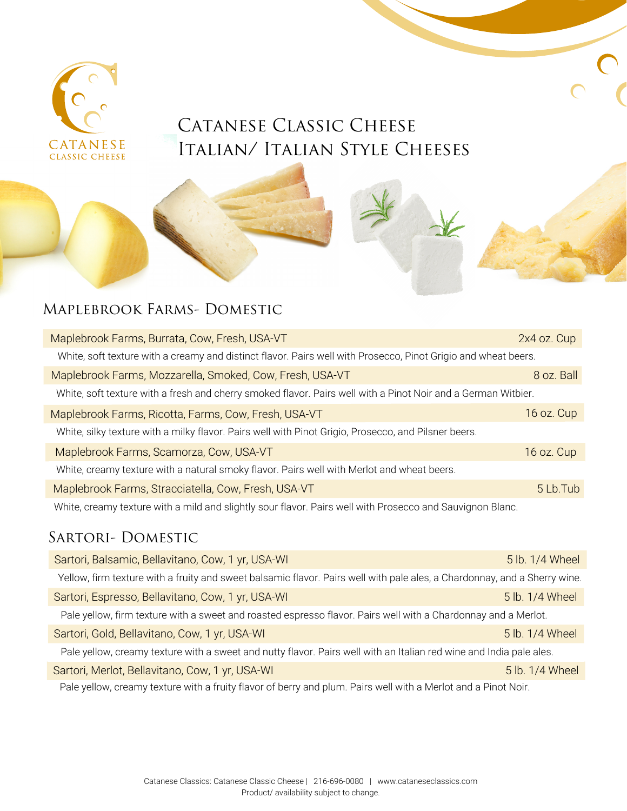

# CATANESE CLASSIC CHEESE Italian/ Italian Style Cheeses

# Maplebrook Farms- Domestic

| Maplebrook Farms, Burrata, Cow, Fresh, USA-VT                                                                  | 2x4 oz. Cup |  |
|----------------------------------------------------------------------------------------------------------------|-------------|--|
| White, soft texture with a creamy and distinct flavor. Pairs well with Prosecco, Pinot Grigio and wheat beers. |             |  |
| Maplebrook Farms, Mozzarella, Smoked, Cow, Fresh, USA-VT                                                       | 8 oz. Ball  |  |
| White, soft texture with a fresh and cherry smoked flavor. Pairs well with a Pinot Noir and a German Witbier.  |             |  |
| Maplebrook Farms, Ricotta, Farms, Cow, Fresh, USA-VT                                                           | 16 oz. Cup  |  |
| White, silky texture with a milky flavor. Pairs well with Pinot Grigio, Prosecco, and Pilsner beers.           |             |  |
| Maplebrook Farms, Scamorza, Cow, USA-VT                                                                        | 16 oz. Cup  |  |
| White, creamy texture with a natural smoky flavor. Pairs well with Merlot and wheat beers.                     |             |  |
| Maplebrook Farms, Stracciatella, Cow, Fresh, USA-VT                                                            | 5 Lb. Tub   |  |
| White, creamy texture with a mild and slightly sour flavor. Pairs well with Prosecco and Sauvignon Blanc.      |             |  |

#### SARTORI- DOMESTIC

| Sartori, Balsamic, Bellavitano, Cow, 1 yr, USA-WI                                                                         | 5 lb. 1/4 Wheel |
|---------------------------------------------------------------------------------------------------------------------------|-----------------|
| Yellow, firm texture with a fruity and sweet balsamic flavor. Pairs well with pale ales, a Chardonnay, and a Sherry wine. |                 |
| Sartori, Espresso, Bellavitano, Cow, 1 yr, USA-WI                                                                         | 5 lb. 1/4 Wheel |
| Pale yellow, firm texture with a sweet and roasted espresso flavor. Pairs well with a Chardonnay and a Merlot.            |                 |
| Sartori, Gold, Bellavitano, Cow, 1 yr, USA-WI                                                                             | 5 lb. 1/4 Wheel |
| Pale yellow, creamy texture with a sweet and nutty flavor. Pairs well with an Italian red wine and India pale ales.       |                 |
| Sartori, Merlot, Bellavitano, Cow, 1 yr, USA-WI                                                                           | 5 lb. 1/4 Wheel |
| Pale yellow, creamy texture with a fruity flavor of berry and plum. Pairs well with a Merlot and a Pinot Noir.            |                 |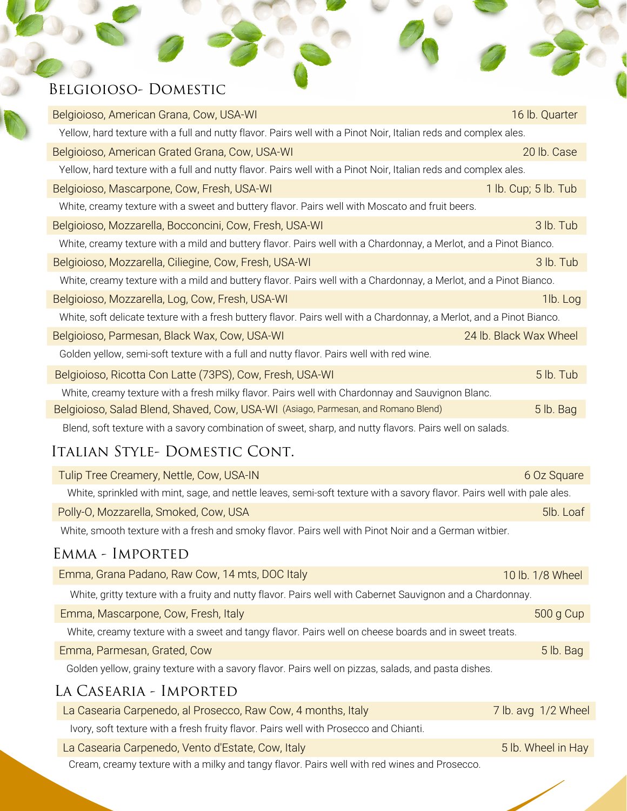# Belgioioso- Domestic

| Belgioioso, American Grana, Cow, USA-WI                                                                               | 16 lb. Quarter         |
|-----------------------------------------------------------------------------------------------------------------------|------------------------|
| Yellow, hard texture with a full and nutty flavor. Pairs well with a Pinot Noir, Italian reds and complex ales.       |                        |
| Belgioioso, American Grated Grana, Cow, USA-WI                                                                        | 20 lb. Case            |
| Yellow, hard texture with a full and nutty flavor. Pairs well with a Pinot Noir, Italian reds and complex ales.       |                        |
| Belgioioso, Mascarpone, Cow, Fresh, USA-WI                                                                            | 1 lb. Cup; 5 lb. Tub   |
| White, creamy texture with a sweet and buttery flavor. Pairs well with Moscato and fruit beers.                       |                        |
| Belgioioso, Mozzarella, Bocconcini, Cow, Fresh, USA-WI                                                                | 3 lb. Tub              |
| White, creamy texture with a mild and buttery flavor. Pairs well with a Chardonnay, a Merlot, and a Pinot Bianco.     |                        |
| Belgioioso, Mozzarella, Ciliegine, Cow, Fresh, USA-WI                                                                 | 3 lb. Tub              |
| White, creamy texture with a mild and buttery flavor. Pairs well with a Chardonnay, a Merlot, and a Pinot Bianco.     |                        |
| Belgioioso, Mozzarella, Log, Cow, Fresh, USA-WI                                                                       | 1lb. Log               |
| White, soft delicate texture with a fresh buttery flavor. Pairs well with a Chardonnay, a Merlot, and a Pinot Bianco. |                        |
| Belgioioso, Parmesan, Black Wax, Cow, USA-WI                                                                          | 24 lb. Black Wax Wheel |
| Golden yellow, semi-soft texture with a full and nutty flavor. Pairs well with red wine.                              |                        |
| Belgioioso, Ricotta Con Latte (73PS), Cow, Fresh, USA-WI                                                              | 5 lb. Tub              |
| White, creamy texture with a fresh milky flavor. Pairs well with Chardonnay and Sauvignon Blanc.                      |                        |
| Belgioioso, Salad Blend, Shaved, Cow, USA-WI (Asiago, Parmesan, and Romano Blend)                                     | 5 lb. Bag              |
| Blend, soft texture with a savory combination of sweet, sharp, and nutty flavors. Pairs well on salads.               |                        |

# Italian Style- Domestic Cont.

| Tulip Tree Creamery, Nettle, Cow, USA-IN                                                                                | 6 Oz Square         |
|-------------------------------------------------------------------------------------------------------------------------|---------------------|
| White, sprinkled with mint, sage, and nettle leaves, semi-soft texture with a savory flavor. Pairs well with pale ales. |                     |
| Polly-O, Mozzarella, Smoked, Cow, USA                                                                                   | 5lb. Loaf           |
| White, smooth texture with a fresh and smoky flavor. Pairs well with Pinot Noir and a German witbier.                   |                     |
| EMMA - IMPORTED                                                                                                         |                     |
| Emma, Grana Padano, Raw Cow, 14 mts, DOC Italy                                                                          | 10 lb. 1/8 Wheel    |
| White, gritty texture with a fruity and nutty flavor. Pairs well with Cabernet Sauvignon and a Chardonnay.              |                     |
| Emma, Mascarpone, Cow, Fresh, Italy                                                                                     | 500 g Cup           |
| White, creamy texture with a sweet and tangy flavor. Pairs well on cheese boards and in sweet treats.                   |                     |
| Emma, Parmesan, Grated, Cow                                                                                             | 5 lb. Bag           |
| Golden yellow, grainy texture with a savory flavor. Pairs well on pizzas, salads, and pasta dishes.                     |                     |
| LA CASEARIA - IMPORTED                                                                                                  |                     |
| La Casearia Carpenedo, al Prosecco, Raw Cow, 4 months, Italy                                                            | 7 lb. avg 1/2 Wheel |
| Ivory, soft texture with a fresh fruity flavor. Pairs well with Prosecco and Chianti.                                   |                     |
| La Casearia Carpenedo, Vento d'Estate, Cow, Italy                                                                       | 5 lb. Wheel in Hay  |
| Cream, creamy texture with a milky and tangy flavor. Pairs well with red wines and Prosecco.                            |                     |